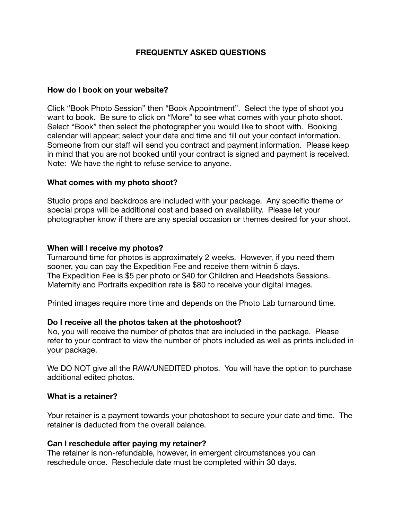# **FREQUENTLY ASKED QUESTIONS**

## **How do I book on your website?**

Click "Book Photo Session" then "Book Appointment". Select the type of shoot you want to book. Be sure to click on "More" to see what comes with your photo shoot. Select "Book" then select the photographer you would like to shoot with. Booking calendar will appear; select your date and time and fill out your contact information. Someone from our staff will send you contract and payment information. Please keep in mind that you are not booked until your contract is signed and payment is received. Note: We have the right to refuse service to anyone.

## **What comes with my photo shoot?**

Studio props and backdrops are included with your package. Any specific theme or special props will be additional cost and based on availability. Please let your photographer know if there are any special occasion or themes desired for your shoot.

## **When will I receive my photos?**

Turnaround time for photos is approximately 2 weeks. However, if you need them sooner, you can pay the Expedition Fee and receive them within 5 days. The Expedition Fee is \$5 per photo or \$40 for Children and Headshots Sessions. Maternity and Portraits expedition rate is \$80 to receive your digital images.

Printed images require more time and depends on the Photo Lab turnaround time.

# **Do I receive all the photos taken at the photoshoot?**

No, you will receive the number of photos that are included in the package. Please refer to your contract to view the number of phots included as well as prints included in your package.

We DO NOT give all the RAW/UNEDITED photos. You will have the option to purchase additional edited photos.

#### **What is a retainer?**

Your retainer is a payment towards your photoshoot to secure your date and time. The retainer is deducted from the overall balance.

#### **Can I reschedule after paying my retainer?**

The retainer is non-refundable, however, in emergent circumstances you can reschedule once. Reschedule date must be completed within 30 days.